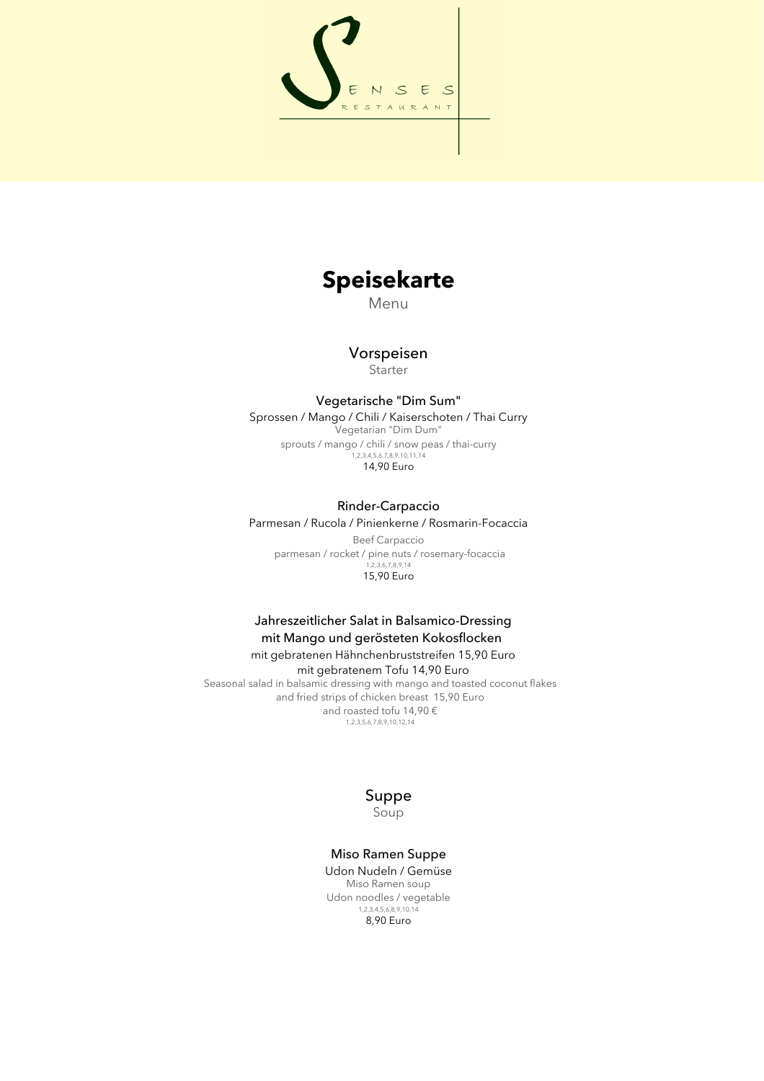

# **Speisekarte**

Menu

# Vorspeisen **Starter**

# Vegetarische "Dim Sum"

Sprossen / Mango / Chili / Kaiserschoten / Thai Curry Vegetarian "Dim Dum" sprouts / mango / chili / snow peas / thai-curry 1,2,3,4,5,6,7,8,9,10,11,14 14,90 Euro

### Rinder-Carpaccio

Parmesan / Rucola / Pinienkerne / Rosmarin-Focaccia

Beef Carpaccio parmesan / rocket / pine nuts / rosemary-focaccia 1,2,3,6,7,8,9,14 15,90 Euro

# Jahreszeitlicher Salat in Balsamico-Dressing mit Mango und gerösteten Kokosflocken mit gebratenen Hähnchenbruststreifen 15,90 Euro

mit gebratenem Tofu 14,90 Euro Seasonal salad in balsamic dressing with mango and toasted coconut flakes and fried strips of chicken breast 15,90 Euro and roasted tofu 14,90 € 1,2,3,5,6,7,8,9,10,12,14

# Suppe Soup

#### Miso Ramen Suppe Udon Nudeln / Gemüse Miso Ramen soup Udon noodles / vegetable

1,2,3,4,5,6,8,9,10,14 8,90 Euro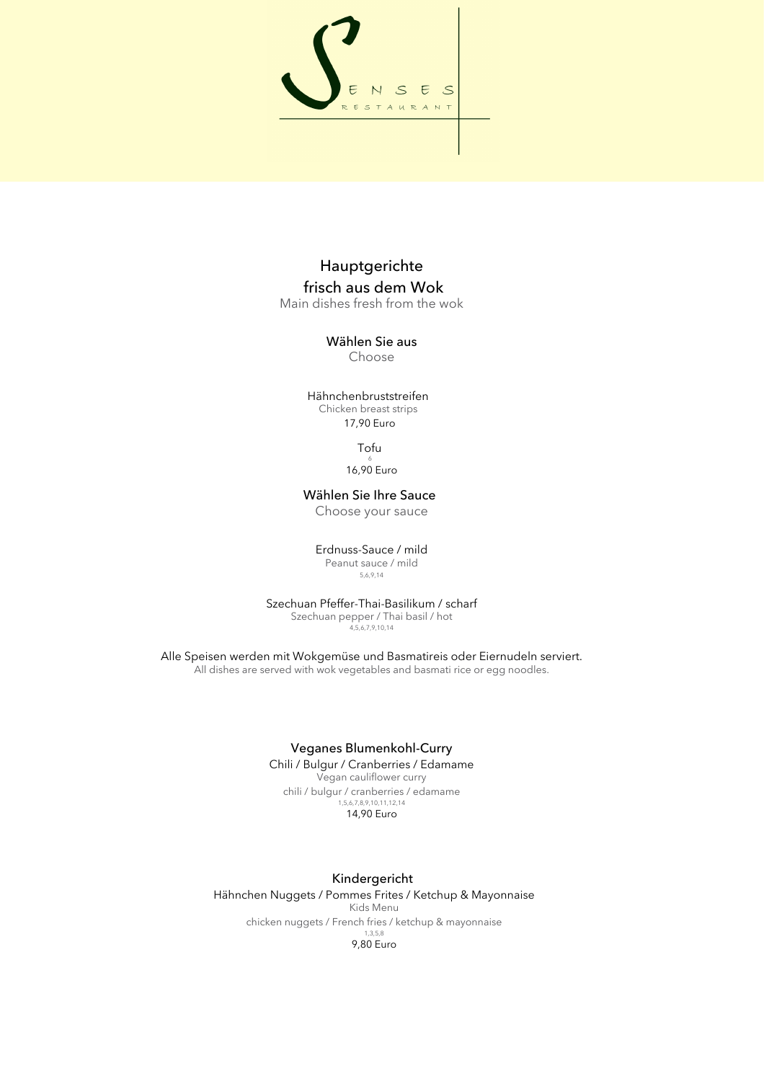

# Hauptgerichte frisch aus dem Wok

Main dishes fresh from the wok

#### Wählen Sie aus Choose

Hähnchenbruststreifen Chicken breast strips 17,90 Euro

> Tofu 6 16,90 Euro

# Wählen Sie Ihre Sauce

Choose your sauce

Erdnuss-Sauce / mild

Peanut sauce / mild 5,6,9,14

Szechuan Pfeffer-Thai-Basilikum / scharf Szechuan pepper / Thai basil / hot  $4,5,6,7,9,10,14$ 

Alle Speisen werden mit Wokgemüse und Basmatireis oder Eiernudeln serviert. All dishes are served with wok vegetables and basmati rice or egg noodles.

#### Veganes Blumenkohl-Curry

Chili / Bulgur / Cranberries / Edamame Vegan cauliflower curry chili / bulgur / cranberries / edamame 1,5,6,7,8,9,10,11,12,14 14,90 Euro

# Kindergericht

Hähnchen Nuggets / Pommes Frites / Ketchup & Mayonnaise Kids Menu chicken nuggets / French fries / ketchup & mayonnaise 1,3,5,8 9,80 Euro